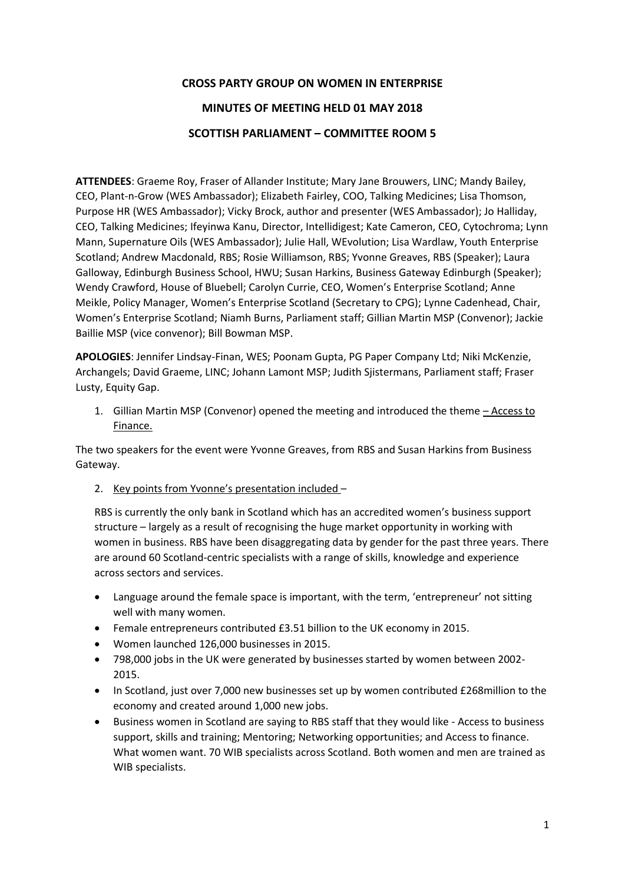## **CROSS PARTY GROUP ON WOMEN IN ENTERPRISE MINUTES OF MEETING HELD 01 MAY 2018 SCOTTISH PARLIAMENT – COMMITTEE ROOM 5**

**ATTENDEES**: Graeme Roy, Fraser of Allander Institute; Mary Jane Brouwers, LINC; Mandy Bailey, CEO, Plant-n-Grow (WES Ambassador); Elizabeth Fairley, COO, Talking Medicines; Lisa Thomson, Purpose HR (WES Ambassador); Vicky Brock, author and presenter (WES Ambassador); Jo Halliday, CEO, Talking Medicines; Ifeyinwa Kanu, Director, Intellidigest; Kate Cameron, CEO, Cytochroma; Lynn Mann, Supernature Oils (WES Ambassador); Julie Hall, WEvolution; Lisa Wardlaw, Youth Enterprise Scotland; Andrew Macdonald, RBS; Rosie Williamson, RBS; Yvonne Greaves, RBS (Speaker); Laura Galloway, Edinburgh Business School, HWU; Susan Harkins, Business Gateway Edinburgh (Speaker); Wendy Crawford, House of Bluebell; Carolyn Currie, CEO, Women's Enterprise Scotland; Anne Meikle, Policy Manager, Women's Enterprise Scotland (Secretary to CPG); Lynne Cadenhead, Chair, Women's Enterprise Scotland; Niamh Burns, Parliament staff; Gillian Martin MSP (Convenor); Jackie Baillie MSP (vice convenor); Bill Bowman MSP.

**APOLOGIES**: Jennifer Lindsay-Finan, WES; Poonam Gupta, PG Paper Company Ltd; Niki McKenzie, Archangels; David Graeme, LINC; Johann Lamont MSP; Judith Sjistermans, Parliament staff; Fraser Lusty, Equity Gap.

1. Gillian Martin MSP (Convenor) opened the meeting and introduced the theme – Access to Finance.

The two speakers for the event were Yvonne Greaves, from RBS and Susan Harkins from Business Gateway.

2. Key points from Yvonne's presentation included –

RBS is currently the only bank in Scotland which has an accredited women's business support structure – largely as a result of recognising the huge market opportunity in working with women in business. RBS have been disaggregating data by gender for the past three years. There are around 60 Scotland-centric specialists with a range of skills, knowledge and experience across sectors and services.

- Language around the female space is important, with the term, 'entrepreneur' not sitting well with many women.
- Female entrepreneurs contributed £3.51 billion to the UK economy in 2015.
- Women launched 126,000 businesses in 2015.
- 798,000 jobs in the UK were generated by businesses started by women between 2002- 2015.
- In Scotland, just over 7,000 new businesses set up by women contributed £268million to the economy and created around 1,000 new jobs.
- Business women in Scotland are saying to RBS staff that they would like Access to business support, skills and training; Mentoring; Networking opportunities; and Access to finance. What women want. 70 WIB specialists across Scotland. Both women and men are trained as WIB specialists.